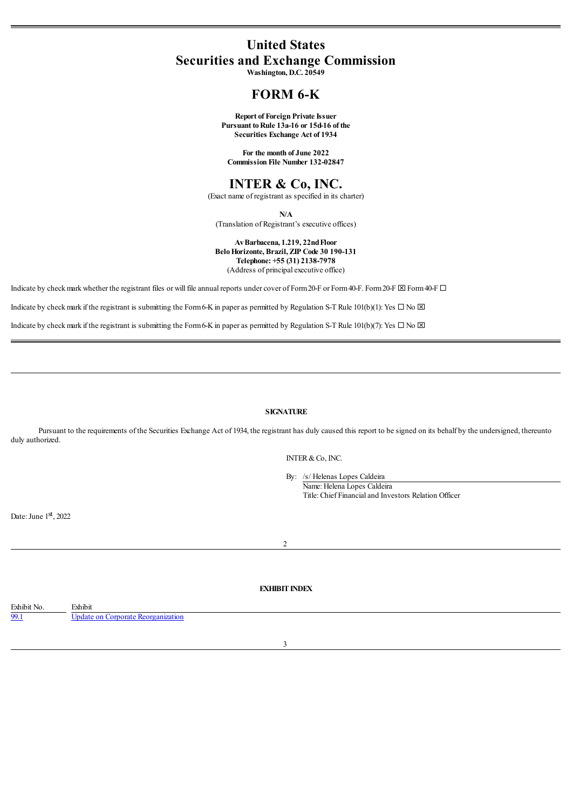# **United States Securities and Exchange Commission**

**Washington, D.C. 20549**

## **FORM 6-K**

**Report of Foreign Private Issuer Pursuant toRule 13a-16 or 15d-16 of the Securities Exchange Act of 1934**

**For the month of June 2022 Commission File Number 132-02847**

### **INTER & Co, INC.**

(Exact name of registrant as specified in its charter)

**N/A**

(Translation of Registrant's executive offices)

**AvBarbacena, 1.219, 22ndFloor BeloHorizonte, Brazil, ZIP Code 30 190-131 Telephone: +55 (31) 2138-7978** (Address of principal executive office)

Indicate by check mark whether the registrant files or will file annual reports under cover of Form 20-F or Form40-F. Form 20-F  $\boxtimes$  Form40-F  $\Box$ 

Indicate by check mark if the registrant is submitting the Form6-K in paper as permitted by Regulation S-T Rule 101(b)(1): Yes  $\Box$  No  $\boxtimes$ 

Indicate by check mark if the registrant is submitting the Form6-K in paper as permitted by Regulation S-T Rule 101(b)(7): Yes  $\Box$  No  $\boxtimes$ 

#### **SIGNATURE**

Pursuant to the requirements of the Securities Exchange Act of 1934, the registrant has duly caused this report to be signed on its behalf by the undersigned, thereunto duly authorized.

INTER&Co, INC.

By: /s/ Helenas Lopes Caldeira Name: Helena Lopes Caldeira

Title: Chief Financialand Investors Relation Officer

Date: June 1st, 2022

#### $\overline{2}$

### **EXHIBIT INDEX**

<span id="page-0-0"></span>

| Exhibit No. | Exhibit        |
|-------------|----------------|
| .           | date on        |
| 22.1        | leorganization |
|             | <b>morat</b>   |